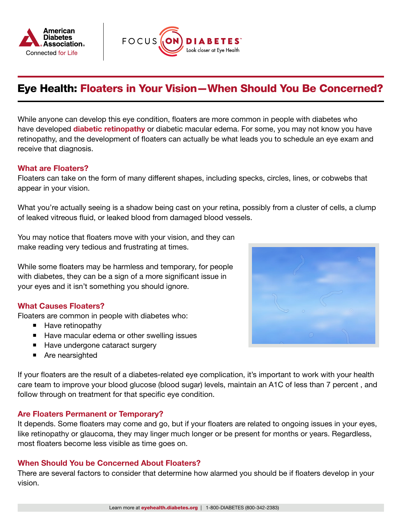



# Eye Health: Floaters in Your Vision—When Should You Be Concerned?

While anyone can develop this eye condition, floaters are more common in people with diabetes who have developed [diabetic retinopathy](https://www.diabetes.org/diabetes/eye-health/understand-eye-conditions/what-is-retinopathy) or diabetic macular edema. For some, you may not know you have retinopathy, and the development of floaters can actually be what leads you to schedule an eye exam and receive that diagnosis.

## What are Floaters?

Floaters can take on the form of many different shapes, including specks, circles, lines, or cobwebs that appear in your vision.

What you're actually seeing is a shadow being cast on your retina, possibly from a cluster of cells, a clump of leaked vitreous fluid, or leaked blood from damaged blood vessels.

You may notice that floaters move with your vision, and they can make reading very tedious and frustrating at times.

While some floaters may be harmless and temporary, for people with diabetes, they can be a sign of a more significant issue in your eyes and it isn't something you should ignore.

## What Causes Floaters?

Floaters are common in people with diabetes who:

- **Have retinopathy**
- Have macular edema or other swelling issues
- Have undergone cataract surgery
- Are nearsighted

If your floaters are the result of a diabetes-related eye complication, it's important to work with your health care team to improve your blood glucose (blood sugar) levels, maintain an A1C of less than 7 percent , and follow through on treatment for that specific eye condition.

#### Are Floaters Permanent or Temporary?

It depends. Some floaters may come and go, but if your floaters are related to ongoing issues in your eyes, like retinopathy or glaucoma, they may linger much longer or be present for months or years. Regardless, most floaters become less visible as time goes on.

#### When Should You be Concerned About Floaters?

There are several factors to consider that determine how alarmed you should be if floaters develop in your vision.